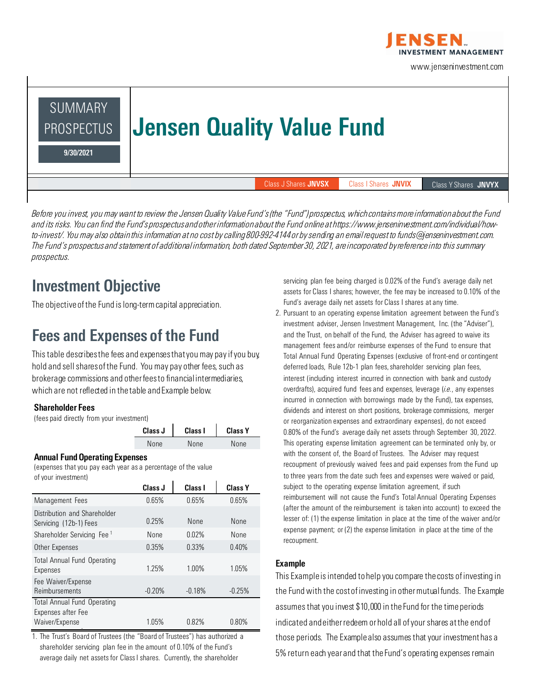

www.jenseninvestment.com

# SUMMARY PROSPECTUS | Jensen Quality Value Fund 9/30/2021 Class J Shares JNVSX Class I Shares JNVIX Class Y Shares JNVYX

*Before you invest, you may want to review the Jensen Quality Value Fund's (the "Fund") prospectus, which contains more information about the Fund and its risks. You can find the Fund's prospectus and other information about the Fund online at https://www.jenseninvestment.com/individual/howto-invest/. You may also obtain this information at no cost by calling 800-992-4144 or by sending an email request to funds@jenseninvestment.com. The Fund's prospectus and statement of additional information, both dated September 30, 2021, are incorporated by reference into this summary prospectus.*

### Investment Objective

The objective of the Fund is long-term capital appreciation.

### Fees and Expenses of the Fund

This table describes the fees and expenses that you may pay if you buy, hold and sell shares of the Fund. You may pay other fees, such as brokerage commissions and other fees to financial intermediaries, which are not reflected in the table and Example below.

#### Shareholder Fees

(fees paid directly from your investment)

| Class J | Class I | <b>Class Y</b> |
|---------|---------|----------------|
| None    | None    | None           |

#### Annual Fund Operating Expenses

(expenses that you pay each year as a percentage of the value of your investment)

|                                                          | Class J  | Class I  | <b>Class Y</b> |
|----------------------------------------------------------|----------|----------|----------------|
| Management Fees                                          | 0.65%    | 0.65%    | 0.65%          |
| Distribution and Shareholder<br>Servicing (12b-1) Fees   | 0.25%    | None     | None           |
| Shareholder Servicing Fee <sup>1</sup>                   | None     | 0.02%    | None           |
| Other Expenses                                           | 0.35%    | 0.33%    | 0.40%          |
| <b>Total Annual Fund Operating</b><br>Expenses           | 1.25%    | 1.00%    | 1.05%          |
| Fee Waiver/Expense<br>Reimbursements                     | $-0.20%$ | $-0.18%$ | $-0.25%$       |
| <b>Total Annual Fund Operating</b><br>Expenses after Fee |          |          |                |
| Waiver/Expense                                           | 1.05%    | 0.82%    | 0.80%          |
|                                                          |          |          |                |

1. The Trust's Board of Trustees (the "Board of Trustees") has authorized a shareholder servicing plan fee in the amount of 0.10% of the Fund's average daily net assets for Class I shares. Currently, the shareholder

servicing plan fee being charged is 0.02% of the Fund's average daily net assets for Class I shares; however, the fee may be increased to 0.10% of the Fund's average daily net assets for Class I shares at any time.

2. Pursuant to an operating expense limitation agreement between the Fund's investment adviser, Jensen Investment Management, Inc. (the "Adviser"), and the Trust, on behalf of the Fund, the Adviser has agreed to waive its management fees and/or reimburse expenses of the Fund to ensure that Total Annual Fund Operating Expenses (exclusive of front-end or contingent deferred loads, Rule 12b-1 plan fees, shareholder servicing plan fees, interest (including interest incurred in connection with bank and custody overdrafts), acquired fund fees and expenses, leverage (*i.e.*, any expenses incurred in connection with borrowings made by the Fund), tax expenses, dividends and interest on short positions, brokerage commissions, merger or reorganization expenses and extraordinary expenses), do not exceed 0.80% of the Fund's average daily net assets through September 30, 2022. This operating expense limitation agreement can be terminated only by, or with the consent of, the Board of Trustees. The Adviser may request recoupment of previously waived fees and paid expenses from the Fund up to three years from the date such fees and expenses were waived or paid, subject to the operating expense limitation agreement, if such reimbursement will not cause the Fund's Total Annual Operating Expenses (after the amount of the reimbursement is taken into account) to exceed the lesser of: (1) the expense limitation in place at the time of the waiver and/or expense payment; or (2) the expense limitation in place at the time of the recoupment.

#### Example

This Example is intended to help you compare the costs of investing in the Fund with the cost of investing in other mutual funds. The Example assumes that you invest \$10,000 in the Fund for the time periods indicated and either redeem or hold all of your shares at the end of those periods. The Example also assumes that your investment has a 5% return each year and that the Fund's operating expenses remain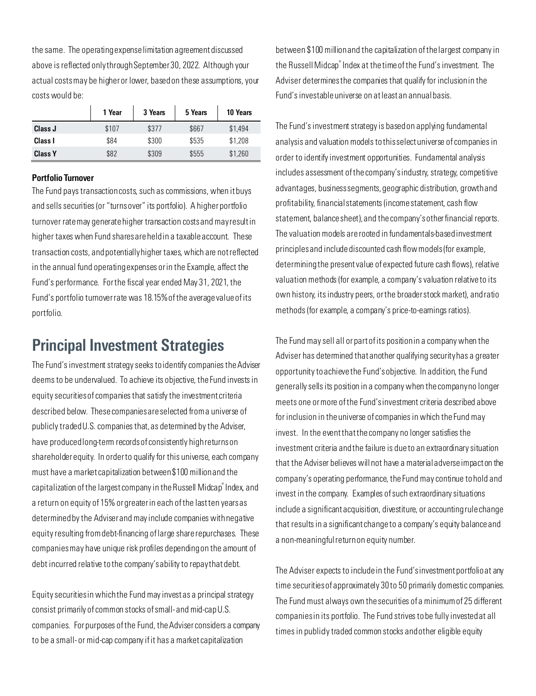the same. The operating expense limitation agreement discussed above is reflected only through September 30, 2022. Although your actual costs may be higher or lower, based on these assumptions, your costs would be:

|                | 1 Year | 3 Years | 5 Years | 10 Years |
|----------------|--------|---------|---------|----------|
| Class J        | \$107  | \$377   | \$667   | \$1,494  |
| Class I        | \$84   | \$300   | \$535   | \$1,208  |
| <b>Class Y</b> | \$82   | \$309   | \$555   | \$1,260  |

#### Portfolio Turnover

The Fund pays transaction costs, such as commissions, when it buys and sells securities (or "turns over" its portfolio). A higher portfolio turnover rate may generate higher transaction costs and may result in higher taxes when Fund shares are held in a taxable account. These transaction costs, and potentially higher taxes, which are not reflected in the annual fund operating expenses or in the Example, affect the Fund's performance. For the fiscal year ended May 31, 2021, the Fund's portfolio turnover rate was 18.15% of the average value of its portfolio.

### Principal Investment Strategies

The Fund's investment strategy seeks to identify companies the Adviser deems to be undervalued. To achieve its objective, the Fund invests in equity securities of companies that satisfy the investment criteria described below. These companies are selected from a universe of publicly traded U.S. companies that, as determined by the Adviser, have produced long-term records of consistently high returns on shareholder equity. In order to qualify for this universe, each company must have a market capitalization between \$100 million and the capitalization of the largest company in the Russell Midcap® Index, and a return on equity of 15% or greater in each of the last ten years as determined by the Adviser and may include companies with negative equity resulting from debt-financing of large share repurchases. These companies may have unique risk profiles depending on the amount of debt incurred relative to the company's ability to repay that debt.

Equity securities in which the Fund may invest as a principal strategy consist primarily of common stocks of small- and mid-cap U.S. companies. For purposes of the Fund, the Adviser considers a company to be a small- or mid-cap company if it has a market capitalization

between \$100 million and the capitalization of the largest company in the Russell Midcap® Index at the time of the Fund's investment. The Adviser determines the companies that qualify for inclusion in the Fund's investable universe on at least an annual basis.

The Fund's investment strategy is based on applying fundamental analysis and valuation models to this select universe of companies in order to identify investment opportunities. Fundamental analysis includes assessment of the company's industry, strategy, competitive advantages, business segments, geographic distribution, growth and profitability, financial statements (income statement, cash flow statement, balance sheet), and the company'sother financial reports. The valuation models are rooted in fundamentals-based investment principles and include discounted cash flow models (for example, determining the present value of expected future cash flows), relative valuation methods (for example, a company's valuation relative to its own history, its industry peers, or the broader stock market), and ratio methods (for example, a company's price-to-earnings ratios).

The Fund may sell all or part of its position in a company when the Adviser has determined that another qualifying security has a greater opportunity to achieve the Fund's objective. In addition, the Fund generally sells its position in a company when the company no longer meets one or more of the Fund's investment criteria described above for inclusion in the universe of companies in which the Fund may invest. In the event that the company no longer satisfies the investment criteria and the failure is due to an extraordinary situation that the Adviser believes will not have a material adverse impact on the company's operating performance, the Fund may continue to hold and invest in the company. Examples of such extraordinary situations include a significant acquisition, divestiture, or accounting rule change that results in a significant change to a company's equity balance and a non-meaningful return on equity number.

The Adviser expects to include in the Fund's investment portfolio at any time securities of approximately 30 to 50 primarily domestic companies. The Fund must always own the securities of a minimum of 25 different companies in its portfolio. The Fund strives to be fully invested at all times in publicly traded common stocks and other eligible equity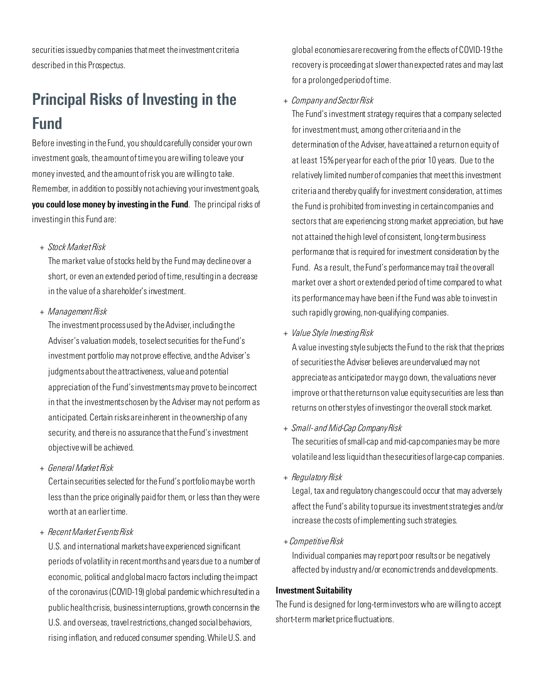securities issued by companies that meet the investment criteria described in this Prospectus.

## Principal Risks of Investing in the Fund

Before investing in the Fund, you should carefully consider your own investment goals, the amount of time you are willing to leave your money invested, and the amount of risk you are willing to take. Remember, in addition to possibly not achieving your investment goals, you could lose money by investing in the Fund. The principal risks of investing in this Fund are:

#### *+ Stock Market Risk*

The market value of stocks held by the Fund may decline over a short, or even an extended period of time, resulting in a decrease in the value of a shareholder's investment.

*+ Management Risk*

The investment process used by the Adviser, including the Adviser's valuation models, to select securities for the Fund's investment portfolio may not prove effective, and the Adviser's judgments about the attractiveness, value and potential appreciation of the Fund's investments may prove to be incorrect in that the investments chosen by the Adviser may not perform as anticipated. Certain risks are inherent in the ownership of any security, and there is no assurance that the Fund's investment objective will be achieved.

*+ General Market Risk*

Certain securities selected for the Fund's portfolio may be worth less than the price originally paid for them, or less than they were worth at an earlier time.

*+ Recent Market Events Risk*

U.S. and international markets have experienced significant periods of volatility in recent months and years due to a number of economic, political and global macro factors including the impact of the coronavirus (COVID-19) global pandemic which resulted in a public health crisis, business interruptions, growth concerns in the U.S. and overseas, travel restrictions, changed social behaviors, rising inflation, and reduced consumer spending. While U.S. and

global economies are recovering from the effects of COVID-19 the recovery is proceeding at slower than expected rates and may last for a prolonged period of time.

*+ Company and Sector Risk*

The Fund's investment strategy requires that a company selected for investment must, among other criteria and in the determination of the Adviser, have attained a return on equity of at least 15% per year for each of the prior 10 years. Due to the relatively limited number of companies that meet this investment criteria and thereby qualify for investment consideration, at times the Fund is prohibited from investing in certain companies and sectors that are experiencing strong market appreciation, but have not attained the high level of consistent, long-term business performance that is required for investment consideration by the Fund. As a result, the Fund's performance may trail the overall market over a short or extended period of time compared to what its performance may have been if the Fund was able to invest in such rapidly growing, non-qualifying companies.

*+ Value Style Investing Risk*

A value investing style subjects the Fund to the risk that the prices of securities the Adviser believes are undervalued may not appreciate as anticipated or may go down, the valuations never improve or that the returns on value equity securities are less than returns on other styles of investing or the overall stock market.

*+ Small- and Mid-Cap Company Risk*

The securities of small-cap and mid-cap companies may be more volatile and less liquid than the securities of large-cap companies.

*+ Regulatory Risk* 

Legal, tax and regulatory changes could occur that may adversely affect the Fund's ability to pursue its investment strategies and/or increase the costs of implementing such strategies.

+ *Competitive Risk*

Individual companies may report poor results or be negatively affected by industry and/or economic trends and developments.

#### Investment Suitability

The Fund is designed for long-term investors who are willing to accept short-term market price fluctuations.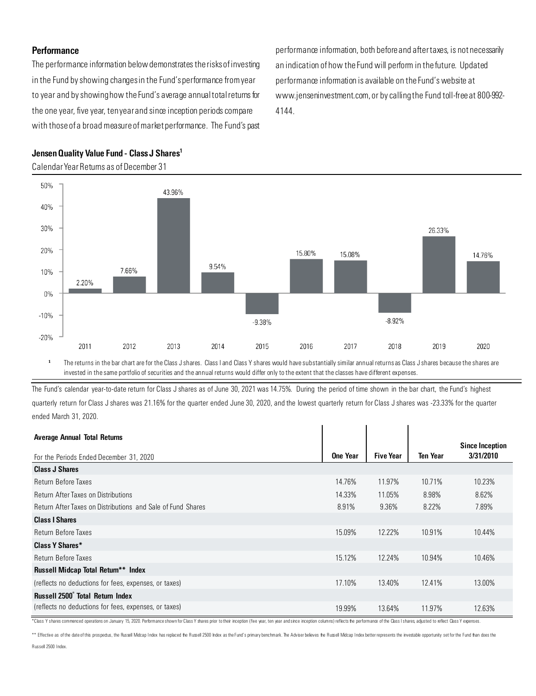#### **Performance**

The performance information below demonstrates the risks of investing in the Fund by showing changes in the Fund's performance from year to year and by showing how the Fund's average annual total returns for the one year, five year, ten year and since inception periods compare with those of a broad measure of market performance. The Fund's past performance information, both before and after taxes, is not necessarily an indication of how the Fund will perform in the future. Updated performance information is available on the Fund's website at www.jenseninvestment.com, or by calling the Fund toll-free at 800-992- 4144.



#### Jensen Quality Value Fund - Class J Shares<sup>1</sup>

Calendar Year Returns as of December 31

**<sup>1</sup>** The returns in the bar chart are for the Class J shares. Class I and Class Y shares would have substantially similar annual returns as Class J shares because the shares are invested in the same portfolio of securities and the annual returns would differ only to the extent that the classes have different expenses.

The Fund's calendar year-to-date return for Class J shares as of June 30, 2021 was 14.75%. During the period of time shown in the bar chart, the Fund's highest quarterly return for Class J shares was 21.16% for the quarter ended June 30, 2020, and the lowest quarterly return for Class J shares was -23.33% for the quarter ended March 31, 2020.

| <b>Average Annual Total Returns</b>                         |          |                  |                 |                                     |
|-------------------------------------------------------------|----------|------------------|-----------------|-------------------------------------|
| For the Periods Ended December 31, 2020                     | One Year | <b>Five Year</b> | <b>Ten Year</b> | <b>Since Inception</b><br>3/31/2010 |
| <b>Class J Shares</b>                                       |          |                  |                 |                                     |
| <b>Return Before Taxes</b>                                  | 14.76%   | 11.97%           | 10.71%          | 10.23%                              |
| <b>Return After Taxes on Distributions</b>                  | 14.33%   | 11.05%           | 8.98%           | 8.62%                               |
| Return After Taxes on Distributions and Sale of Fund Shares | 8.91%    | 9.36%            | 8.22%           | 7.89%                               |
| <b>Class I Shares</b>                                       |          |                  |                 |                                     |
| <b>Return Before Taxes</b>                                  | 15.09%   | 12.22%           | 10.91%          | 10.44%                              |
| Class Y Shares*                                             |          |                  |                 |                                     |
| Return Before Taxes                                         | 15.12%   | 12.24%           | 10.94%          | 10.46%                              |
| <b>Russell Midcap Total Return** Index</b>                  |          |                  |                 |                                     |
| (reflects no deductions for fees, expenses, or taxes)       | 17.10%   | 13.40%           | 12.41%          | 13.00%                              |
| Russell 2500° Total Return Index                            |          |                  |                 |                                     |
| (reflects no deductions for fees, expenses, or taxes)       | 19.99%   | 13.64%           | 11.97%          | 12.63%                              |

\*Class Y shares commenced operations on January 15, 2020. Performance shown for Class Y shares prior to their inception (five year, ten year and since inception columns) reflects the performance of the Class I shares adjus

\*\* Effective as of the date of this prospectus, the Russel Midcap Index has replaced the Russell 2500 Index as the Fund's primary benchmark. The Adviser believes the Russell Midcap Index better represents the investable op Russell 2500 Index.